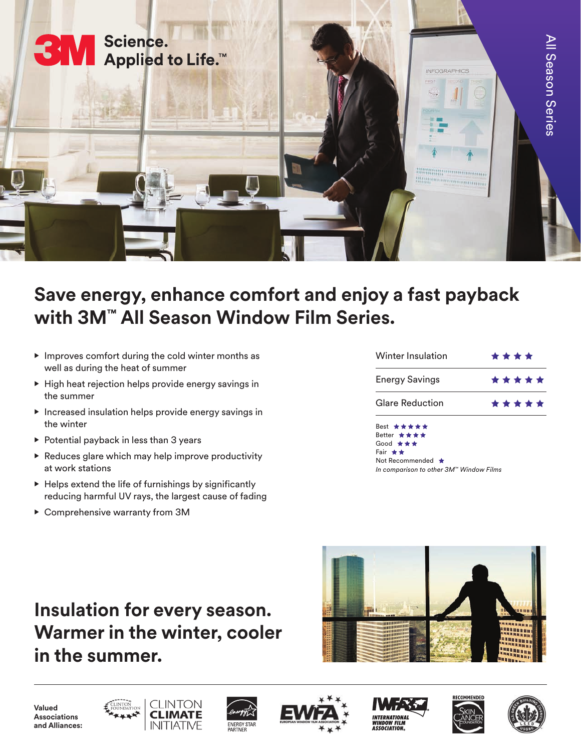

## **Save energy, enhance comfort and enjoy a fast payback with 3M™ All Season Window Film Series.**

- Improves comfort during the cold winter months as well as during the heat of summer
- High heat rejection helps provide energy savings in the summer
- Increased insulation helps provide energy savings in the winter
- Potential payback in less than 3 years
- $\triangleright$  Reduces glare which may help improve productivity at work stations
- Helps extend the life of furnishings by significantly reducing harmful UV rays, the largest cause of fading
- Comprehensive warranty from 3M

| Winter Insulation      | * * * *   |
|------------------------|-----------|
| <b>Energy Savings</b>  | * * * * * |
| <b>Glare Reduction</b> | *****     |
|                        |           |

Best \*\*\*\*\* Better \* \* \* \* Good \* Fair  $\star \star$ Not Recommended \* *In comparison to other 3M™ Window Films*

## **Insulation for every season. Warmer in the winter, cooler in the summer.**



**Valued Associations and Alliances:**